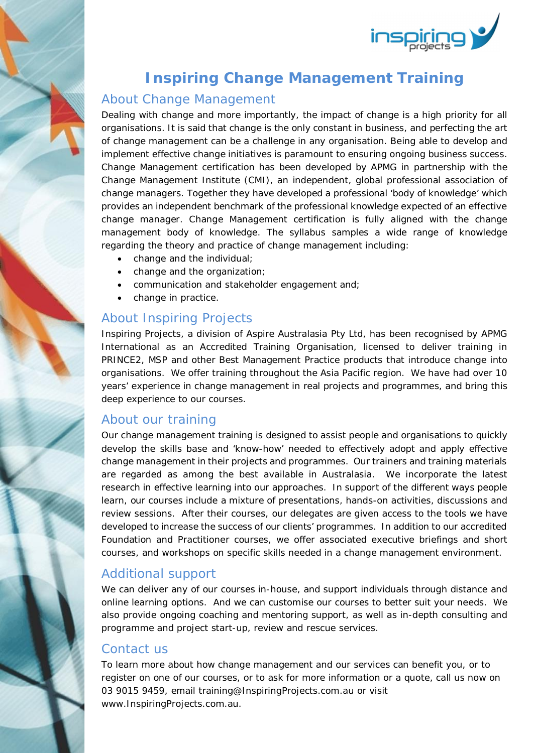

## **Inspiring Change Management Training**

### About Change Management

Dealing with change and more importantly, the impact of change is a high priority for all organisations. It is said that change is the only constant in business, and perfecting the art of change management can be a challenge in any organisation. Being able to develop and implement effective change initiatives is paramount to ensuring ongoing business success. Change Management certification has been developed by APMG in partnership with the Change Management Institute (CMI), an independent, global professional association of change managers. Together they have developed a professional 'body of knowledge' which provides an independent benchmark of the professional knowledge expected of an effective change manager. Change Management certification is fully aligned with the change management body of knowledge. The syllabus samples a wide range of knowledge regarding the theory and practice of change management including:

- change and the individual;
- change and the organization;
- communication and stakeholder engagement and;
- change in practice.

### About Inspiring Projects

Inspiring Projects, a division of Aspire Australasia Pty Ltd, has been recognised by APMG International as an Accredited Training Organisation, licensed to deliver training in PRINCE2, MSP and other Best Management Practice products that introduce change into organisations. We offer training throughout the Asia Pacific region. We have had over 10 years' experience in change management in real projects and programmes, and bring this deep experience to our courses.

### About our training

Our change management training is designed to assist people and organisations to quickly develop the skills base and 'know-how' needed to effectively adopt and apply effective change management in their projects and programmes. Our trainers and training materials are regarded as among the best available in Australasia. We incorporate the latest research in effective learning into our approaches. In support of the different ways people learn, our courses include a mixture of presentations, hands-on activities, discussions and review sessions. After their courses, our delegates are given access to the tools we have developed to increase the success of our clients' programmes. In addition to our accredited Foundation and Practitioner courses, we offer associated executive briefings and short courses, and workshops on specific skills needed in a change management environment.

### Additional support

We can deliver any of our courses in-house, and support individuals through distance and online learning options. And we can customise our courses to better suit your needs. We also provide ongoing coaching and mentoring support, as well as in-depth consulting and programme and project start-up, review and rescue services.

#### Contact us

To learn more about how change management and our services can benefit you, or to register on one of our courses, or to ask for more information or a quote, call us now on 03 9015 9459, email training@InspiringProjects.com.au or visit www.InspiringProjects.com.au.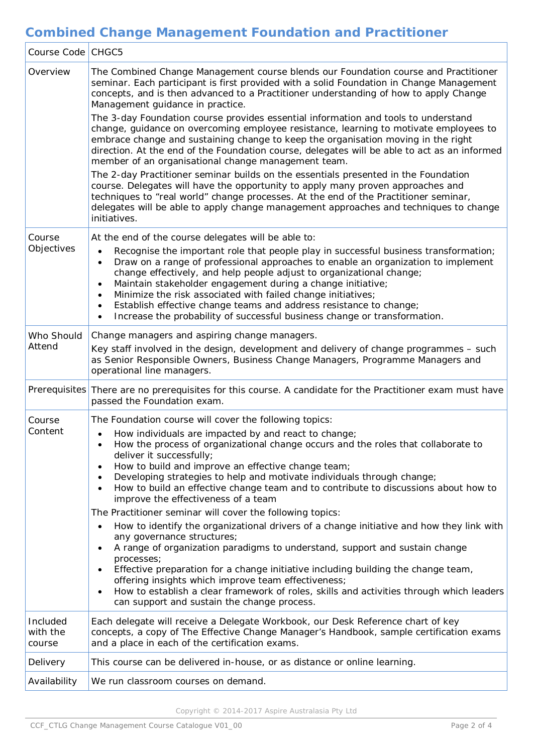# **Combined Change Management Foundation and Practitioner**

| Course Code   CHGC5            |                                                                                                                                                                                                                                                                                                                                                                                                                                                                                                                                                                                                                                                                                                                                                                                                                                                                                                                                                                                                                                                                                                                    |
|--------------------------------|--------------------------------------------------------------------------------------------------------------------------------------------------------------------------------------------------------------------------------------------------------------------------------------------------------------------------------------------------------------------------------------------------------------------------------------------------------------------------------------------------------------------------------------------------------------------------------------------------------------------------------------------------------------------------------------------------------------------------------------------------------------------------------------------------------------------------------------------------------------------------------------------------------------------------------------------------------------------------------------------------------------------------------------------------------------------------------------------------------------------|
| Overview                       | The Combined Change Management course blends our Foundation course and Practitioner<br>seminar. Each participant is first provided with a solid Foundation in Change Management<br>concepts, and is then advanced to a Practitioner understanding of how to apply Change<br>Management guidance in practice.<br>The 3-day Foundation course provides essential information and tools to understand<br>change, guidance on overcoming employee resistance, learning to motivate employees to<br>embrace change and sustaining change to keep the organisation moving in the right<br>direction. At the end of the Foundation course, delegates will be able to act as an informed<br>member of an organisational change management team.<br>The 2-day Practitioner seminar builds on the essentials presented in the Foundation<br>course. Delegates will have the opportunity to apply many proven approaches and<br>techniques to "real world" change processes. At the end of the Practitioner seminar,<br>delegates will be able to apply change management approaches and techniques to change<br>initiatives. |
|                                |                                                                                                                                                                                                                                                                                                                                                                                                                                                                                                                                                                                                                                                                                                                                                                                                                                                                                                                                                                                                                                                                                                                    |
| Course<br>Objectives           | At the end of the course delegates will be able to:<br>Recognise the important role that people play in successful business transformation;<br>Draw on a range of professional approaches to enable an organization to implement<br>change effectively, and help people adjust to organizational change;<br>Maintain stakeholder engagement during a change initiative;<br>Minimize the risk associated with failed change initiatives;<br>Establish effective change teams and address resistance to change;<br>Increase the probability of successful business change or transformation.                                                                                                                                                                                                                                                                                                                                                                                                                                                                                                                         |
| Who Should<br>Attend           | Change managers and aspiring change managers.<br>Key staff involved in the design, development and delivery of change programmes - such<br>as Senior Responsible Owners, Business Change Managers, Programme Managers and<br>operational line managers.                                                                                                                                                                                                                                                                                                                                                                                                                                                                                                                                                                                                                                                                                                                                                                                                                                                            |
|                                | Prerequisites There are no prerequisites for this course. A candidate for the Practitioner exam must have<br>passed the Foundation exam.                                                                                                                                                                                                                                                                                                                                                                                                                                                                                                                                                                                                                                                                                                                                                                                                                                                                                                                                                                           |
| Course<br>Content              | The Foundation course will cover the following topics:<br>How individuals are impacted by and react to change;<br>How the process of organizational change occurs and the roles that collaborate to<br>deliver it successfully;<br>How to build and improve an effective change team;<br>Developing strategies to help and motivate individuals through change;<br>How to build an effective change team and to contribute to discussions about how to<br>$\bullet$<br>improve the effectiveness of a team<br>The Practitioner seminar will cover the following topics:<br>How to identify the organizational drivers of a change initiative and how they link with<br>any governance structures;<br>A range of organization paradigms to understand, support and sustain change<br>processes;<br>Effective preparation for a change initiative including building the change team,<br>offering insights which improve team effectiveness;<br>How to establish a clear framework of roles, skills and activities through which leaders<br>can support and sustain the change process.                              |
| Included<br>with the<br>course | Each delegate will receive a Delegate Workbook, our Desk Reference chart of key<br>concepts, a copy of The Effective Change Manager's Handbook, sample certification exams<br>and a place in each of the certification exams.                                                                                                                                                                                                                                                                                                                                                                                                                                                                                                                                                                                                                                                                                                                                                                                                                                                                                      |
| Delivery                       | This course can be delivered in-house, or as distance or online learning.                                                                                                                                                                                                                                                                                                                                                                                                                                                                                                                                                                                                                                                                                                                                                                                                                                                                                                                                                                                                                                          |
| Availability                   | We run classroom courses on demand.                                                                                                                                                                                                                                                                                                                                                                                                                                                                                                                                                                                                                                                                                                                                                                                                                                                                                                                                                                                                                                                                                |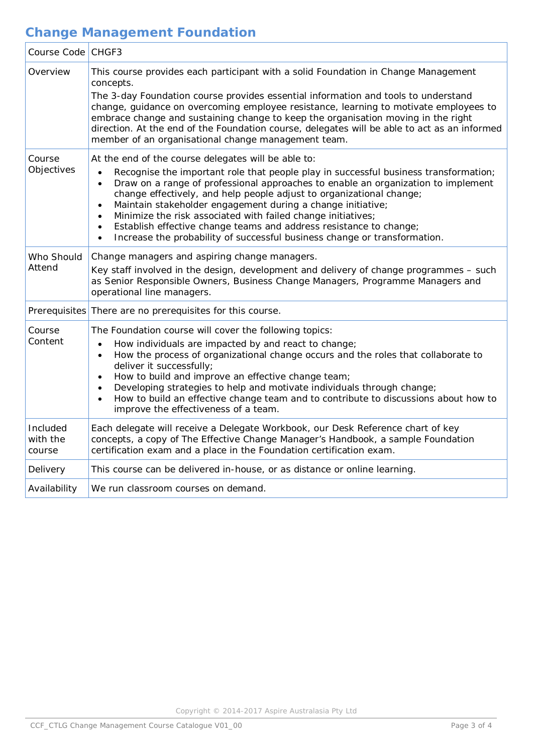## **Change Management Foundation**

| Course Code CHGF3              |                                                                                                                                                                                                                                                                                                                                                                                                                                                                                                                                                                                                                                   |
|--------------------------------|-----------------------------------------------------------------------------------------------------------------------------------------------------------------------------------------------------------------------------------------------------------------------------------------------------------------------------------------------------------------------------------------------------------------------------------------------------------------------------------------------------------------------------------------------------------------------------------------------------------------------------------|
| Overview                       | This course provides each participant with a solid Foundation in Change Management<br>concepts.<br>The 3-day Foundation course provides essential information and tools to understand<br>change, guidance on overcoming employee resistance, learning to motivate employees to<br>embrace change and sustaining change to keep the organisation moving in the right<br>direction. At the end of the Foundation course, delegates will be able to act as an informed<br>member of an organisational change management team.                                                                                                        |
| Course<br>Objectives           | At the end of the course delegates will be able to:<br>Recognise the important role that people play in successful business transformation;<br>Draw on a range of professional approaches to enable an organization to implement<br>change effectively, and help people adjust to organizational change;<br>Maintain stakeholder engagement during a change initiative;<br>$\bullet$<br>Minimize the risk associated with failed change initiatives;<br>$\bullet$<br>Establish effective change teams and address resistance to change;<br>$\bullet$<br>Increase the probability of successful business change or transformation. |
| Who Should<br>Attend           | Change managers and aspiring change managers.<br>Key staff involved in the design, development and delivery of change programmes - such<br>as Senior Responsible Owners, Business Change Managers, Programme Managers and<br>operational line managers.                                                                                                                                                                                                                                                                                                                                                                           |
| Prerequisites                  | There are no prerequisites for this course.                                                                                                                                                                                                                                                                                                                                                                                                                                                                                                                                                                                       |
| Course<br>Content              | The Foundation course will cover the following topics:<br>How individuals are impacted by and react to change;<br>$\bullet$<br>How the process of organizational change occurs and the roles that collaborate to<br>$\bullet$<br>deliver it successfully;<br>How to build and improve an effective change team;<br>Developing strategies to help and motivate individuals through change;<br>How to build an effective change team and to contribute to discussions about how to<br>$\bullet$<br>improve the effectiveness of a team.                                                                                             |
| Included<br>with the<br>course | Each delegate will receive a Delegate Workbook, our Desk Reference chart of key<br>concepts, a copy of The Effective Change Manager's Handbook, a sample Foundation<br>certification exam and a place in the Foundation certification exam.                                                                                                                                                                                                                                                                                                                                                                                       |
| Delivery                       | This course can be delivered in-house, or as distance or online learning.                                                                                                                                                                                                                                                                                                                                                                                                                                                                                                                                                         |
| Availability                   | We run classroom courses on demand.                                                                                                                                                                                                                                                                                                                                                                                                                                                                                                                                                                                               |